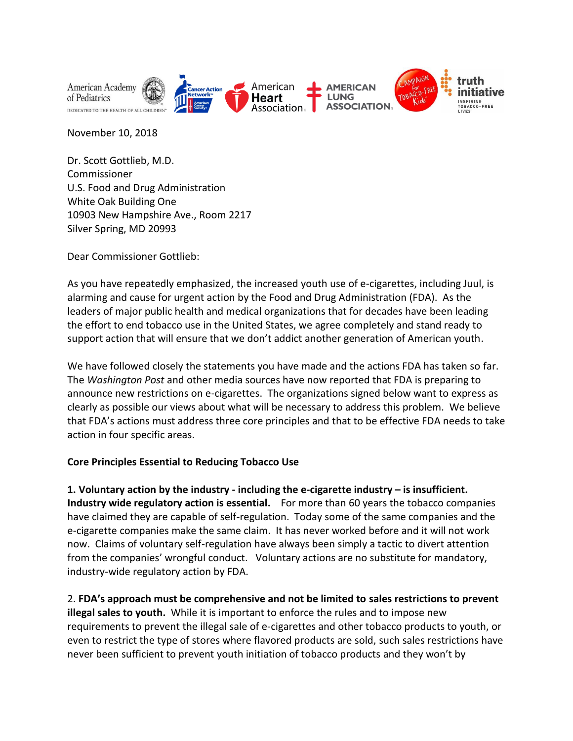

November 10, 2018

Dr. Scott Gottlieb, M.D. Commissioner U.S. Food and Drug Administration White Oak Building One 10903 New Hampshire Ave., Room 2217 Silver Spring, MD 20993

Dear Commissioner Gottlieb:

As you have repeatedly emphasized, the increased youth use of e-cigarettes, including Juul, is alarming and cause for urgent action by the Food and Drug Administration (FDA). As the leaders of major public health and medical organizations that for decades have been leading the effort to end tobacco use in the United States, we agree completely and stand ready to support action that will ensure that we don't addict another generation of American youth.

We have followed closely the statements you have made and the actions FDA has taken so far. The *Washington Post* and other media sources have now reported that FDA is preparing to announce new restrictions on e-cigarettes. The organizations signed below want to express as clearly as possible our views about what will be necessary to address this problem. We believe that FDA's actions must address three core principles and that to be effective FDA needs to take action in four specific areas.

## **Core Principles Essential to Reducing Tobacco Use**

**1. Voluntary action by the industry - including the e-cigarette industry – is insufficient. Industry wide regulatory action is essential.** For more than 60 years the tobacco companies have claimed they are capable of self-regulation. Today some of the same companies and the e-cigarette companies make the same claim. It has never worked before and it will not work now. Claims of voluntary self-regulation have always been simply a tactic to divert attention from the companies' wrongful conduct. Voluntary actions are no substitute for mandatory, industry-wide regulatory action by FDA.

2. **FDA's approach must be comprehensive and not be limited to sales restrictions to prevent illegal sales to youth.** While it is important to enforce the rules and to impose new requirements to prevent the illegal sale of e-cigarettes and other tobacco products to youth, or even to restrict the type of stores where flavored products are sold, such sales restrictions have never been sufficient to prevent youth initiation of tobacco products and they won't by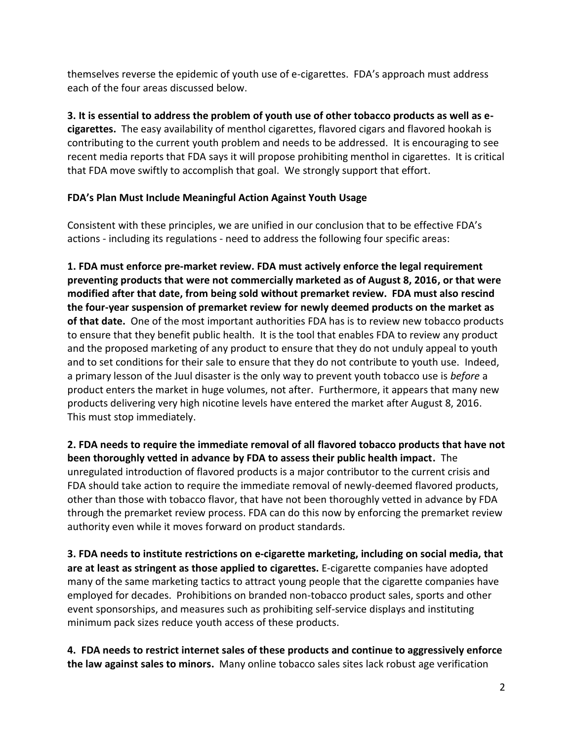themselves reverse the epidemic of youth use of e-cigarettes. FDA's approach must address each of the four areas discussed below.

**3. It is essential to address the problem of youth use of other tobacco products as well as ecigarettes.** The easy availability of menthol cigarettes, flavored cigars and flavored hookah is contributing to the current youth problem and needs to be addressed. It is encouraging to see recent media reports that FDA says it will propose prohibiting menthol in cigarettes. It is critical that FDA move swiftly to accomplish that goal. We strongly support that effort.

## **FDA's Plan Must Include Meaningful Action Against Youth Usage**

Consistent with these principles, we are unified in our conclusion that to be effective FDA's actions - including its regulations - need to address the following four specific areas:

**1. FDA must enforce pre-market review. FDA must actively enforce the legal requirement preventing products that were not commercially marketed as of August 8, 2016, or that were modified after that date, from being sold without premarket review. FDA must also rescind the four-year suspension of premarket review for newly deemed products on the market as of that date.** One of the most important authorities FDA has is to review new tobacco products to ensure that they benefit public health. It is the tool that enables FDA to review any product and the proposed marketing of any product to ensure that they do not unduly appeal to youth and to set conditions for their sale to ensure that they do not contribute to youth use. Indeed, a primary lesson of the Juul disaster is the only way to prevent youth tobacco use is *before* a product enters the market in huge volumes, not after. Furthermore, it appears that many new products delivering very high nicotine levels have entered the market after August 8, 2016. This must stop immediately.

**2. FDA needs to require the immediate removal of all flavored tobacco products that have not been thoroughly vetted in advance by FDA to assess their public health impact.** The unregulated introduction of flavored products is a major contributor to the current crisis and FDA should take action to require the immediate removal of newly-deemed flavored products, other than those with tobacco flavor, that have not been thoroughly vetted in advance by FDA through the premarket review process. FDA can do this now by enforcing the premarket review authority even while it moves forward on product standards.

**3. FDA needs to institute restrictions on e-cigarette marketing, including on social media, that are at least as stringent as those applied to cigarettes.** E-cigarette companies have adopted many of the same marketing tactics to attract young people that the cigarette companies have employed for decades. Prohibitions on branded non-tobacco product sales, sports and other event sponsorships, and measures such as prohibiting self-service displays and instituting minimum pack sizes reduce youth access of these products.

**4. FDA needs to restrict internet sales of these products and continue to aggressively enforce the law against sales to minors.** Many online tobacco sales sites lack robust age verification